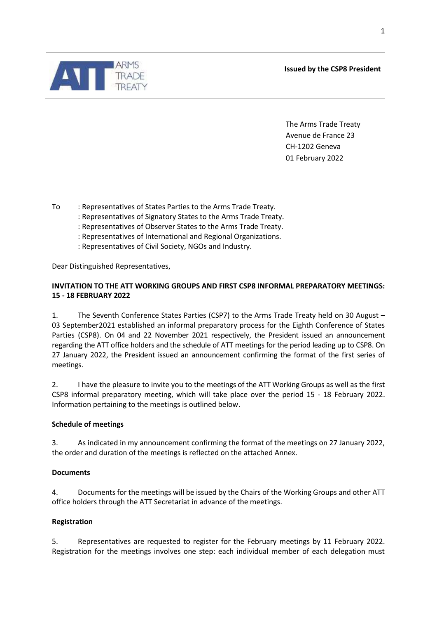**Issued by the CSP8 President**

The Arms Trade Treaty Avenue de France 23 CH-1202 Geneva 01 February 2022

To : Representatives of States Parties to the Arms Trade Treaty.

: Representatives of Signatory States to the Arms Trade Treaty.

: Representatives of Observer States to the Arms Trade Treaty.

: Representatives of International and Regional Organizations.

: Representatives of Civil Society, NGOs and Industry.

Dear Distinguished Representatives,

# **INVITATION TO THE ATT WORKING GROUPS AND FIRST CSP8 INFORMAL PREPARATORY MEETINGS: 15 - 18 FEBRUARY 2022**

1. The Seventh Conference States Parties (CSP7) to the Arms Trade Treaty held on 30 August – 03 September2021 established an informal preparatory process for the Eighth Conference of States Parties (CSP8). On 04 and 22 November 2021 respectively, the President issued an announcement regarding the ATT office holders and the schedule of ATT meetings for the period leading up to CSP8. On 27 January 2022, the President issued an announcement confirming the format of the first series of meetings.

2. I have the pleasure to invite you to the meetings of the ATT Working Groups as well as the first CSP8 informal preparatory meeting, which will take place over the period 15 - 18 February 2022. Information pertaining to the meetings is outlined below.

# **Schedule of meetings**

3. As indicated in my announcement confirming the format of the meetings on 27 January 2022, the order and duration of the meetings is reflected on the attached Annex.

# **Documents**

4. Documents for the meetings will be issued by the Chairs of the Working Groups and other ATT office holders through the ATT Secretariat in advance of the meetings.

# **Registration**

5. Representatives are requested to register for the February meetings by 11 February 2022. Registration for the meetings involves one step: each individual member of each delegation must

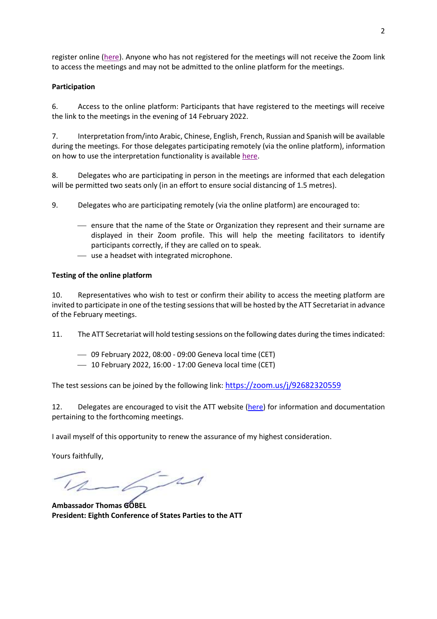register online [\(here\)](https://www.thearmstradetreaty.org/online-registration-february-meetings). Anyone who has not registered for the meetings will not receive the Zoom link to access the meetings and may not be admitted to the online platform for the meetings.

### **Participation**

6. Access to the online platform: Participants that have registered to the meetings will receive the link to the meetings in the evening of 14 February 2022.

7. Interpretation from/into Arabic, Chinese, English, French, Russian and Spanish will be available during the meetings. For those delegates participating remotely (via the online platform), information on how to use the interpretation functionality is available [here.](https://www.thearmstradetreaty.org/hyper-images/file/Interpretation/Interpretation.pdf)

8. Delegates who are participating in person in the meetings are informed that each delegation will be permitted two seats only (in an effort to ensure social distancing of 1.5 metres).

9. Delegates who are participating remotely (via the online platform) are encouraged to:

- ensure that the name of the State or Organization they represent and their surname are displayed in their Zoom profile. This will help the meeting facilitators to identify participants correctly, if they are called on to speak.
- use a headset with integrated microphone.

# **Testing of the online platform**

10. Representatives who wish to test or confirm their ability to access the meeting platform are invited to participate in one of the testing sessions that will be hosted by the ATT Secretariat in advance of the February meetings.

11. The ATT Secretariat will hold testing sessions on the following dates during the times indicated:

- 09 February 2022, 08:00 09:00 Geneva local time (CET)
- 10 February 2022, 16:00 17:00 Geneva local time (CET)

The test sessions can be joined by the following link: <https://zoom.us/j/92682320559>

12. Delegates are encouraged to visit the ATT website [\(here\)](https://www.thearmstradetreaty.org/CSP8-1st-working-group-and-preparatory-meeting) for information and documentation pertaining to the forthcoming meetings.

I avail myself of this opportunity to renew the assurance of my highest consideration.

Yours faithfully,

 $-6 - 11$ 

**Ambassador Thomas GÖBEL President: Eighth Conference of States Parties to the ATT**